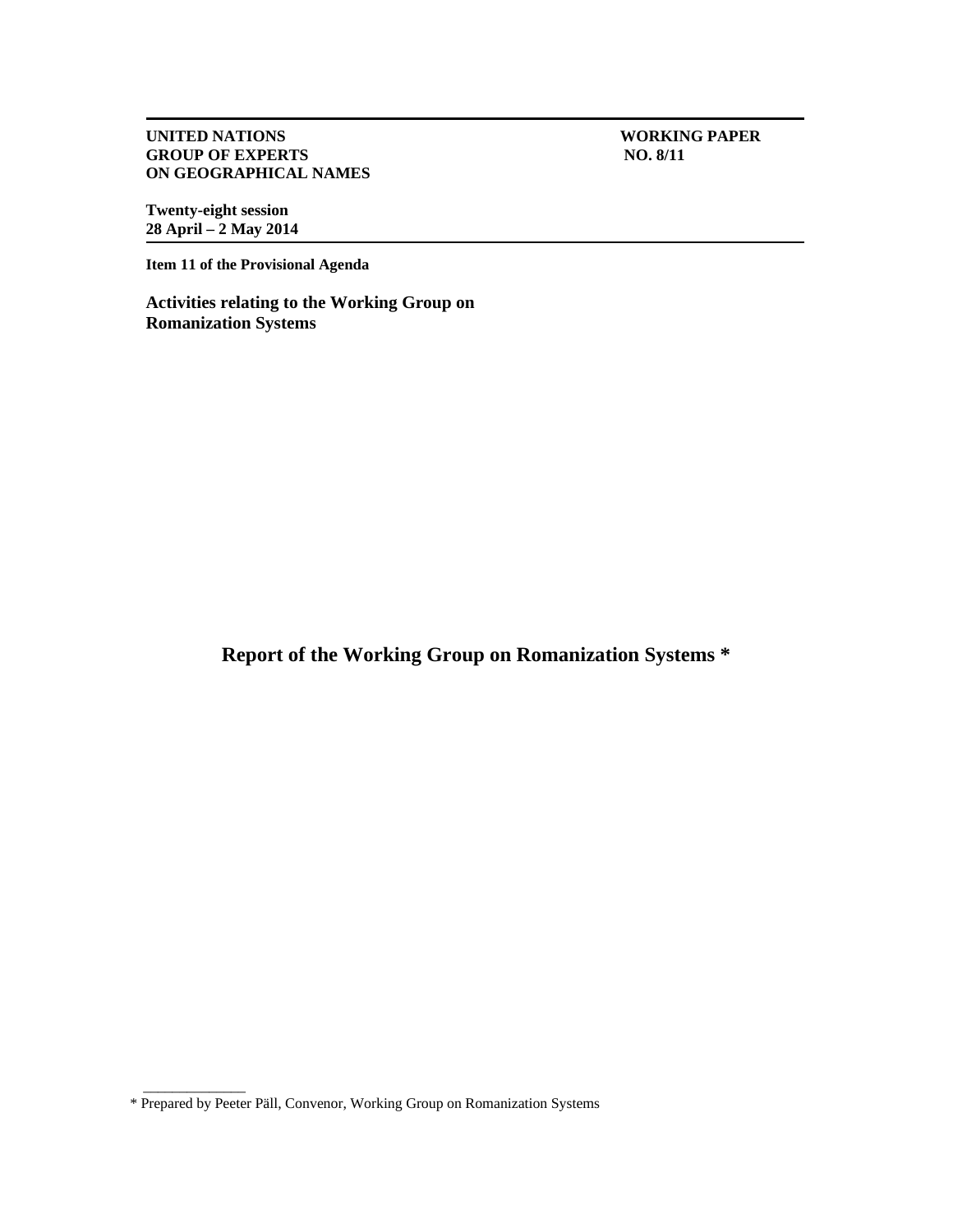**UNITED NATIONS**<br> **CROUP OF EXPERTS**<br> **CROUP OF EXPERTS GROUP OF EXPERTS ON GEOGRAPHICAL NAMES** 

**Twenty-eight session 28 April – 2 May 2014** 

**Item 11 of the Provisional Agenda** 

**Activities relating to the Working Group on Romanization Systems** 

**Report of the Working Group on Romanization Systems \*** 

\_\_\_\_\_\_\_\_\_\_\_\_\_\_

<sup>\*</sup> Prepared by Peeter Päll, Convenor, Working Group on Romanization Systems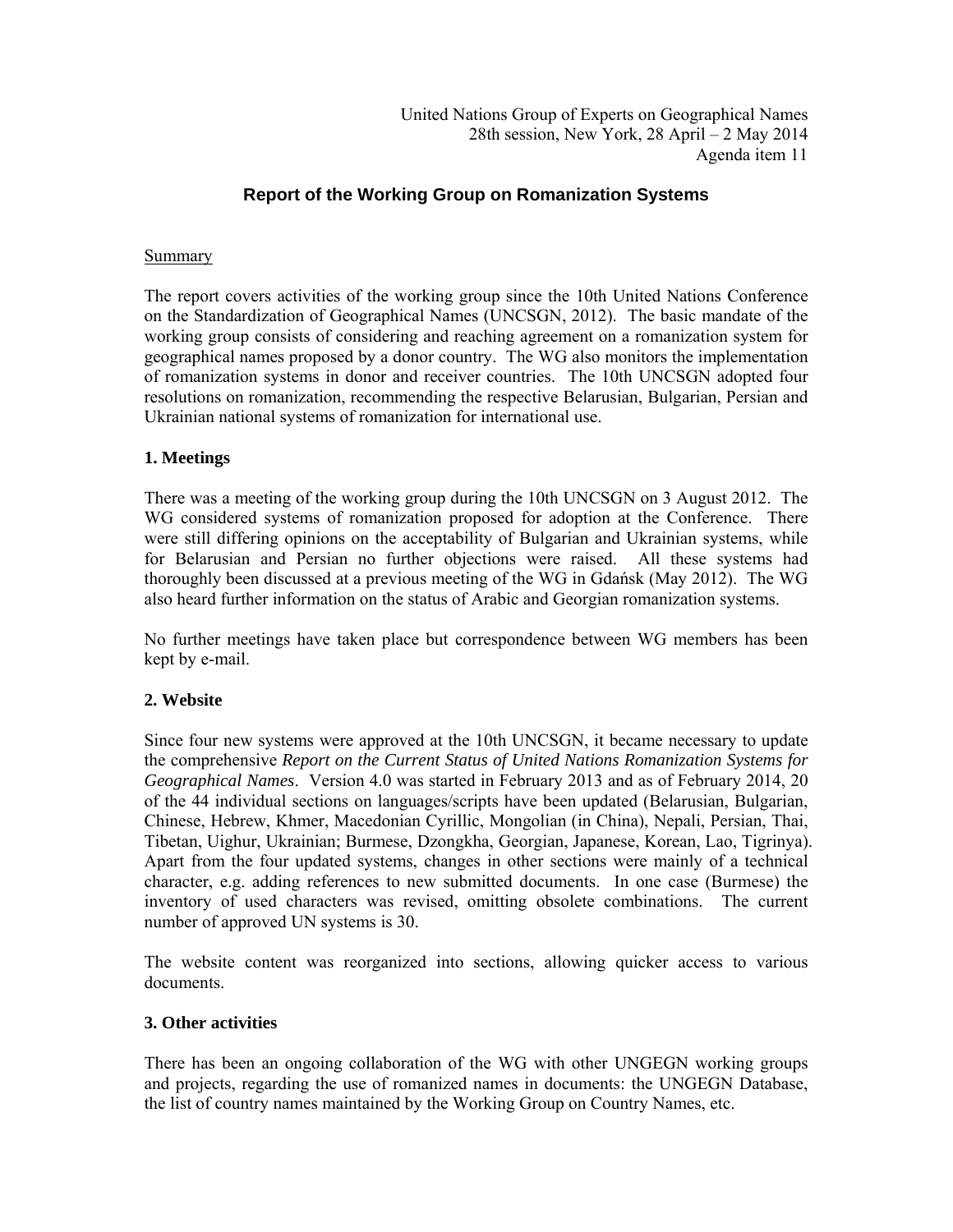# **Report of the Working Group on Romanization Systems**

### **Summary**

The report covers activities of the working group since the 10th United Nations Conference on the Standardization of Geographical Names (UNCSGN, 2012). The basic mandate of the working group consists of considering and reaching agreement on a romanization system for geographical names proposed by a donor country. The WG also monitors the implementation of romanization systems in donor and receiver countries. The 10th UNCSGN adopted four resolutions on romanization, recommending the respective Belarusian, Bulgarian, Persian and Ukrainian national systems of romanization for international use.

### **1. Meetings**

There was a meeting of the working group during the 10th UNCSGN on 3 August 2012. The WG considered systems of romanization proposed for adoption at the Conference. There were still differing opinions on the acceptability of Bulgarian and Ukrainian systems, while for Belarusian and Persian no further objections were raised. All these systems had thoroughly been discussed at a previous meeting of the WG in Gdańsk (May 2012). The WG also heard further information on the status of Arabic and Georgian romanization systems.

No further meetings have taken place but correspondence between WG members has been kept by e-mail.

### **2. Website**

Since four new systems were approved at the 10th UNCSGN, it became necessary to update the comprehensive *Report on the Current Status of United Nations Romanization Systems for Geographical Names*. Version 4.0 was started in February 2013 and as of February 2014, 20 of the 44 individual sections on languages/scripts have been updated (Belarusian, Bulgarian, Chinese, Hebrew, Khmer, Macedonian Cyrillic, Mongolian (in China), Nepali, Persian, Thai, Tibetan, Uighur, Ukrainian; Burmese, Dzongkha, Georgian, Japanese, Korean, Lao, Tigrinya). Apart from the four updated systems, changes in other sections were mainly of a technical character, e.g. adding references to new submitted documents. In one case (Burmese) the inventory of used characters was revised, omitting obsolete combinations. The current number of approved UN systems is 30.

The website content was reorganized into sections, allowing quicker access to various documents.

### **3. Other activities**

There has been an ongoing collaboration of the WG with other UNGEGN working groups and projects, regarding the use of romanized names in documents: the UNGEGN Database, the list of country names maintained by the Working Group on Country Names, etc.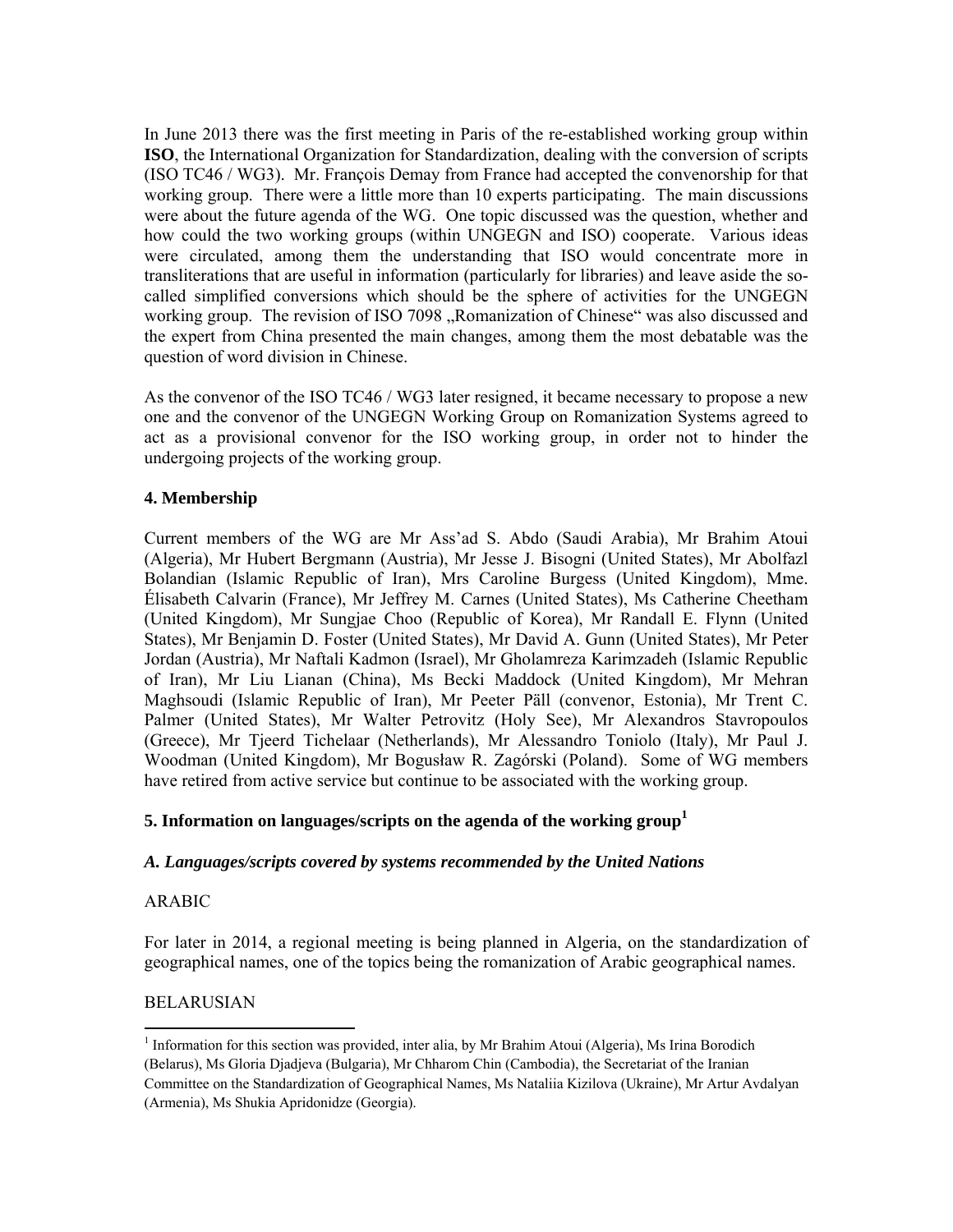In June 2013 there was the first meeting in Paris of the re-established working group within **ISO**, the International Organization for Standardization, dealing with the conversion of scripts (ISO TC46 / WG3). Mr. François Demay from France had accepted the convenorship for that working group. There were a little more than 10 experts participating. The main discussions were about the future agenda of the WG. One topic discussed was the question, whether and how could the two working groups (within UNGEGN and ISO) cooperate. Various ideas were circulated, among them the understanding that ISO would concentrate more in transliterations that are useful in information (particularly for libraries) and leave aside the socalled simplified conversions which should be the sphere of activities for the UNGEGN working group. The revision of ISO 7098 "Romanization of Chinese" was also discussed and the expert from China presented the main changes, among them the most debatable was the question of word division in Chinese.

As the convenor of the ISO TC46 / WG3 later resigned, it became necessary to propose a new one and the convenor of the UNGEGN Working Group on Romanization Systems agreed to act as a provisional convenor for the ISO working group, in order not to hinder the undergoing projects of the working group.

## **4. Membership**

Current members of the WG are Mr Ass'ad S. Abdo (Saudi Arabia), Mr Brahim Atoui (Algeria), Mr Hubert Bergmann (Austria), Mr Jesse J. Bisogni (United States), Mr Abolfazl Bolandian (Islamic Republic of Iran), Mrs Caroline Burgess (United Kingdom), Mme. Élisabeth Calvarin (France), Mr Jeffrey M. Carnes (United States), Ms Catherine Cheetham (United Kingdom), Mr Sungjae Choo (Republic of Korea), Mr Randall E. Flynn (United States), Mr Benjamin D. Foster (United States), Mr David A. Gunn (United States), Mr Peter Jordan (Austria), Mr Naftali Kadmon (Israel), Mr Gholamreza Karimzadeh (Islamic Republic of Iran), Mr Liu Lianan (China), Ms Becki Maddock (United Kingdom), Mr Mehran Maghsoudi (Islamic Republic of Iran), Mr Peeter Päll (convenor, Estonia), Mr Trent C. Palmer (United States), Mr Walter Petrovitz (Holy See), Mr Alexandros Stavropoulos (Greece), Mr Tjeerd Tichelaar (Netherlands), Mr Alessandro Toniolo (Italy), Mr Paul J. Woodman (United Kingdom), Mr Bogusław R. Zagórski (Poland). Some of WG members have retired from active service but continue to be associated with the working group.

## **5. Information on languages/scripts on the agenda of the working group<sup>1</sup>**

### *A. Languages/scripts covered by systems recommended by the United Nations*

### ARABIC

 $\overline{\phantom{a}}$ 

For later in 2014, a regional meeting is being planned in Algeria, on the standardization of geographical names, one of the topics being the romanization of Arabic geographical names.

## BELARUSIAN

<sup>&</sup>lt;sup>1</sup> Information for this section was provided, inter alia, by Mr Brahim Atoui (Algeria), Ms Irina Borodich (Belarus), Ms Gloria Djadjeva (Bulgaria), Mr Chharom Chin (Cambodia), the Secretariat of the Iranian Committee on the Standardization of Geographical Names, Ms Nataliia Kizilova (Ukraine), Mr Artur Avdalyan (Armenia), Ms Shukia Apridonidze (Georgia).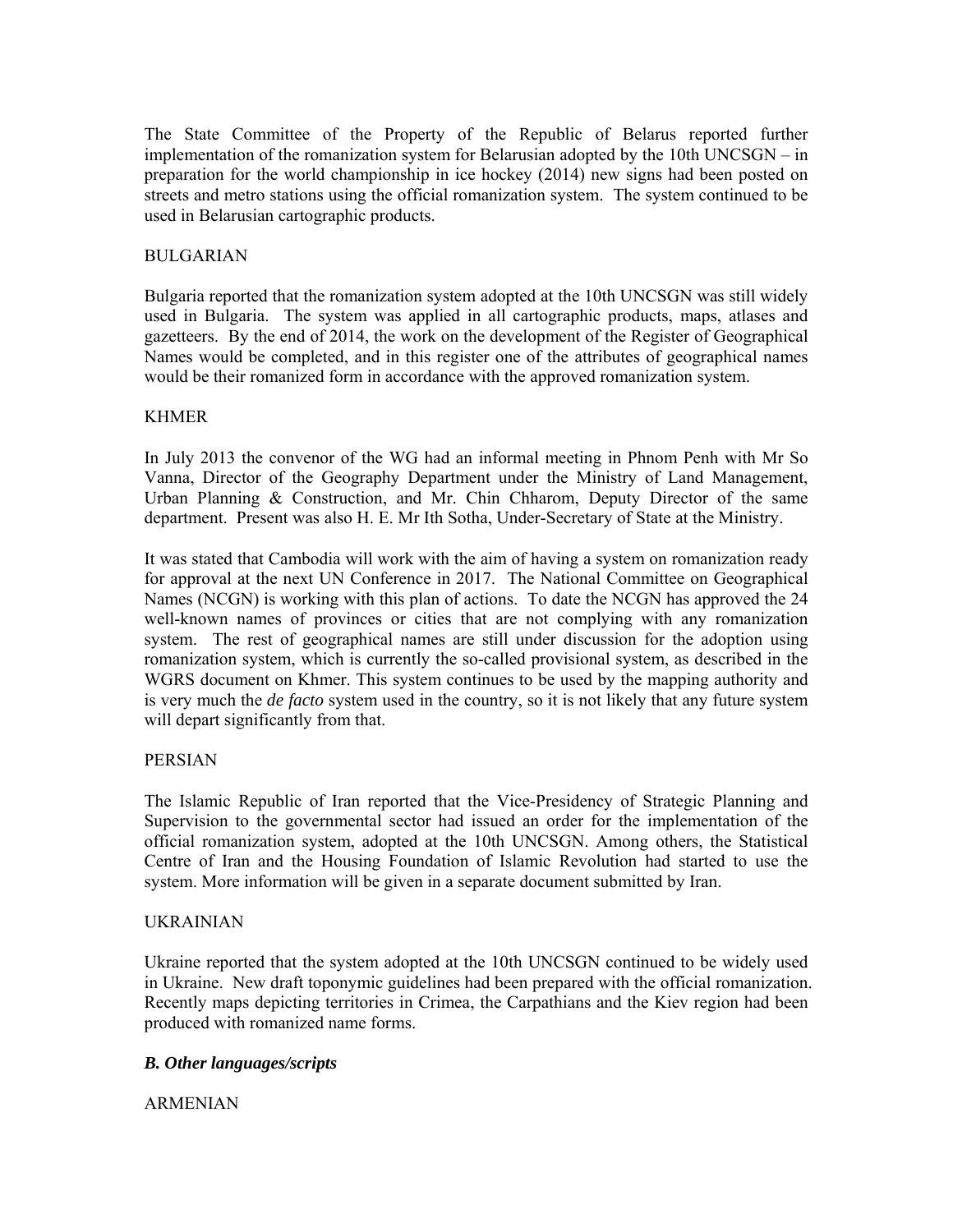The State Committee of the Property of the Republic of Belarus reported further implementation of the romanization system for Belarusian adopted by the 10th UNCSGN – in preparation for the world championship in ice hockey (2014) new signs had been posted on streets and metro stations using the official romanization system. The system continued to be used in Belarusian cartographic products.

### BULGARIAN

Bulgaria reported that the romanization system adopted at the 10th UNCSGN was still widely used in Bulgaria. The system was applied in all cartographic products, maps, atlases and gazetteers. By the end of 2014, the work on the development of the Register of Geographical Names would be completed, and in this register one of the attributes of geographical names would be their romanized form in accordance with the approved romanization system.

### KHMER

In July 2013 the convenor of the WG had an informal meeting in Phnom Penh with Mr So Vanna, Director of the Geography Department under the Ministry of Land Management, Urban Planning & Construction, and Mr. Chin Chharom, Deputy Director of the same department. Present was also H. E. Mr Ith Sotha, Under-Secretary of State at the Ministry.

It was stated that Cambodia will work with the aim of having a system on romanization ready for approval at the next UN Conference in 2017. The National Committee on Geographical Names (NCGN) is working with this plan of actions. To date the NCGN has approved the 24 well-known names of provinces or cities that are not complying with any romanization system. The rest of geographical names are still under discussion for the adoption using romanization system, which is currently the so-called provisional system, as described in the WGRS document on Khmer. This system continues to be used by the mapping authority and is very much the *de facto* system used in the country, so it is not likely that any future system will depart significantly from that.

### PERSIAN

The Islamic Republic of Iran reported that the Vice-Presidency of Strategic Planning and Supervision to the governmental sector had issued an order for the implementation of the official romanization system, adopted at the 10th UNCSGN. Among others, the Statistical Centre of Iran and the Housing Foundation of Islamic Revolution had started to use the system. More information will be given in a separate document submitted by Iran.

### UKRAINIAN

Ukraine reported that the system adopted at the 10th UNCSGN continued to be widely used in Ukraine. New draft toponymic guidelines had been prepared with the official romanization. Recently maps depicting territories in Crimea, the Carpathians and the Kiev region had been produced with romanized name forms.

### *B. Other languages/scripts*

## ARMENIAN